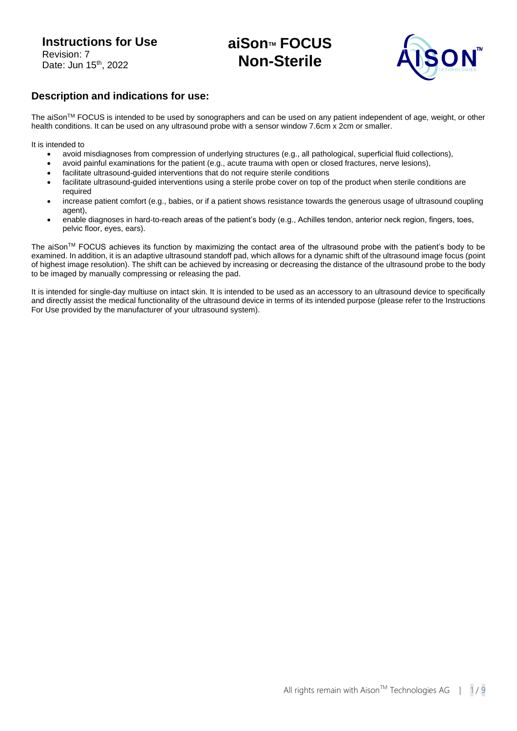# **aiSonTM FOCUS Non-Sterile**



### **Description and indications for use:**

The aiSonTM FOCUS is intended to be used by sonographers and can be used on any patient independent of age, weight, or other health conditions. It can be used on any ultrasound probe with a sensor window 7.6cm x 2cm or smaller.

It is intended to

- avoid misdiagnoses from compression of underlying structures (e.g., all pathological, superficial fluid collections),
- avoid painful examinations for the patient (e.g., acute trauma with open or closed fractures, nerve lesions),
- facilitate ultrasound-guided interventions that do not require sterile conditions
- facilitate ultrasound-guided interventions using a sterile probe cover on top of the product when sterile conditions are required
- increase patient comfort (e.g., babies, or if a patient shows resistance towards the generous usage of ultrasound coupling agent),
- enable diagnoses in hard-to-reach areas of the patient's body (e.g., Achilles tendon, anterior neck region, fingers, toes, pelvic floor, eyes, ears).

The aiSonTM FOCUS achieves its function by maximizing the contact area of the ultrasound probe with the patient's body to be examined. In addition, it is an adaptive ultrasound standoff pad, which allows for a dynamic shift of the ultrasound image focus (point of highest image resolution). The shift can be achieved by increasing or decreasing the distance of the ultrasound probe to the body to be imaged by manually compressing or releasing the pad.

It is intended for single-day multiuse on intact skin. It is intended to be used as an accessory to an ultrasound device to specifically and directly assist the medical functionality of the ultrasound device in terms of its intended purpose (please refer to the Instructions For Use provided by the manufacturer of your ultrasound system).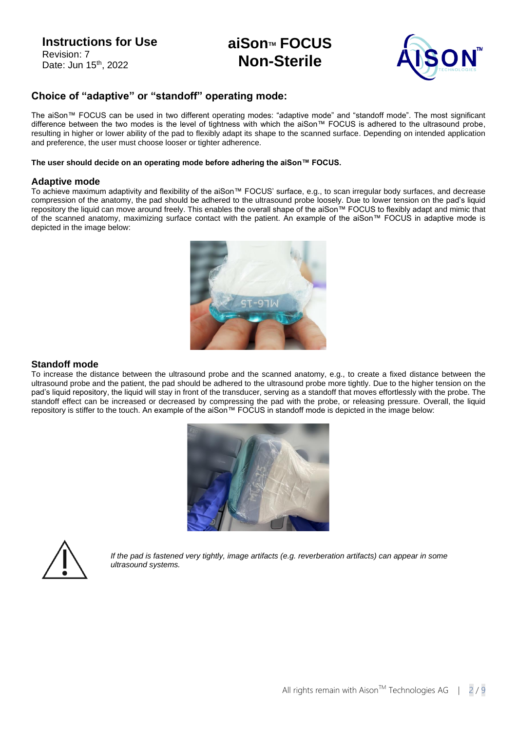# **aiSonTM FOCUS Non-Sterile**



### **Choice of "adaptive" or "standoff" operating mode:**

The aiSon™ FOCUS can be used in two different operating modes: "adaptive mode" and "standoff mode". The most significant difference between the two modes is the level of tightness with which the aiSon™ FOCUS is adhered to the ultrasound probe, resulting in higher or lower ability of the pad to flexibly adapt its shape to the scanned surface. Depending on intended application and preference, the user must choose looser or tighter adherence.

#### **The user should decide on an operating mode before adhering the aiSon™ FOCUS.**

#### **Adaptive mode**

To achieve maximum adaptivity and flexibility of the aiSon™ FOCUS' surface, e.g., to scan irregular body surfaces, and decrease compression of the anatomy, the pad should be adhered to the ultrasound probe loosely. Due to lower tension on the pad's liquid repository the liquid can move around freely. This enables the overall shape of the aiSon™ FOCUS to flexibly adapt and mimic that of the scanned anatomy, maximizing surface contact with the patient. An example of the aiSon™ FOCUS in adaptive mode is depicted in the image below:



### **Standoff mode**

To increase the distance between the ultrasound probe and the scanned anatomy, e.g., to create a fixed distance between the ultrasound probe and the patient, the pad should be adhered to the ultrasound probe more tightly. Due to the higher tension on the pad's liquid repository, the liquid will stay in front of the transducer, serving as a standoff that moves effortlessly with the probe. The standoff effect can be increased or decreased by compressing the pad with the probe, or releasing pressure. Overall, the liquid repository is stiffer to the touch. An example of the aiSon™ FOCUS in standoff mode is depicted in the image below:





*If the pad is fastened very tightly, image artifacts (e.g. reverberation artifacts) can appear in some ultrasound systems.*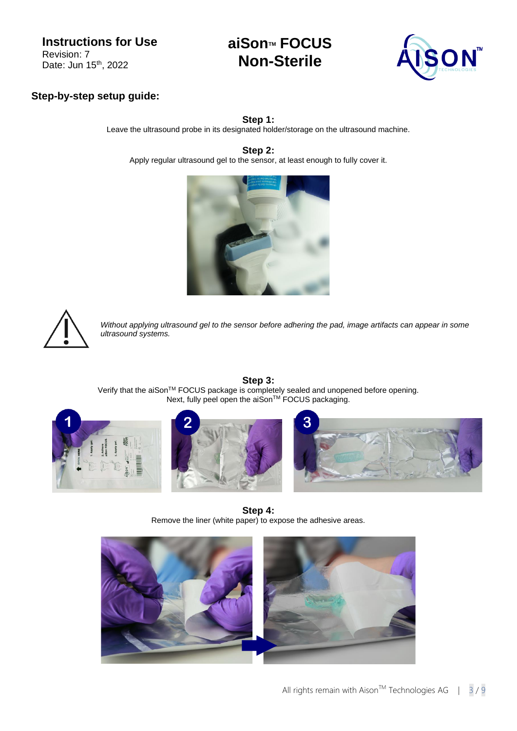# **aiSonTM FOCUS Non-Sterile**



### **Step-by-step setup guide:**

**Step 1:**

Leave the ultrasound probe in its designated holder/storage on the ultrasound machine.

**Step 2:**

Apply regular ultrasound gel to the sensor, at least enough to fully cover it.





*Without applying ultrasound gel to the sensor before adhering the pad, image artifacts can appear in some ultrasound systems.*



**Step 3:** Verify that the aiSonTM FOCUS package is completely sealed and unopened before opening. Next, fully peel open the aiSon™ FOCUS packaging.





**Step 4:** Remove the liner (white paper) to expose the adhesive areas.

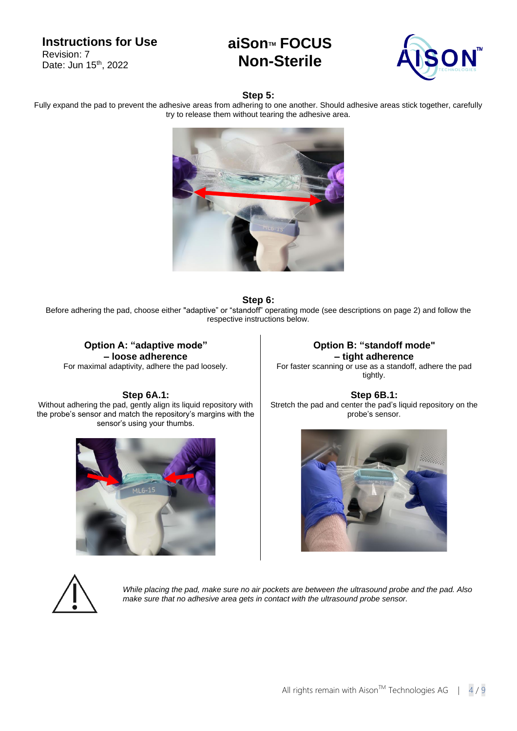# **aiSonTM FOCUS Non-Sterile**



### **Step 5:**

Fully expand the pad to prevent the adhesive areas from adhering to one another. Should adhesive areas stick together, carefully try to release them without tearing the adhesive area.



#### **Step 6:**

Before adhering the pad, choose either "adaptive" or "standoff" operating mode (see descriptions on page 2) and follow the respective instructions below.

#### **Option A: "adaptive mode" – loose adherence** For maximal adaptivity, adhere the pad loosely.

#### **Step 6A.1:**

Without adhering the pad, gently align its liquid repository with the probe's sensor and match the repository's margins with the sensor's using your thumbs.



**Option B: "standoff mode" – tight adherence** For faster scanning or use as a standoff, adhere the pad tightly.

**Step 6B.1:** Stretch the pad and center the pad's liquid repository on the probe's sensor.





*While placing the pad, make sure no air pockets are between the ultrasound probe and the pad. Also make sure that no adhesive area gets in contact with the ultrasound probe sensor.*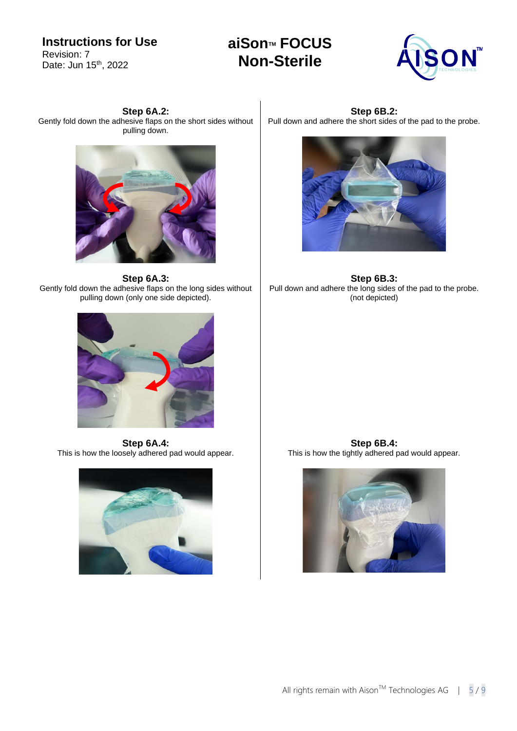**aiSonTM FOCUS Non-Sterile**



**Step 6A.2:** Gently fold down the adhesive flaps on the short sides without pulling down.



**Step 6A.3:** Gently fold down the adhesive flaps on the long sides without pulling down (only one side depicted).



**Step 6A.4:** This is how the loosely adhered pad would appear.



**Step 6B.2:** Pull down and adhere the short sides of the pad to the probe.



**Step 6B.3:** Pull down and adhere the long sides of the pad to the probe. (not depicted)

**Step 6B.4:** This is how the tightly adhered pad would appear.

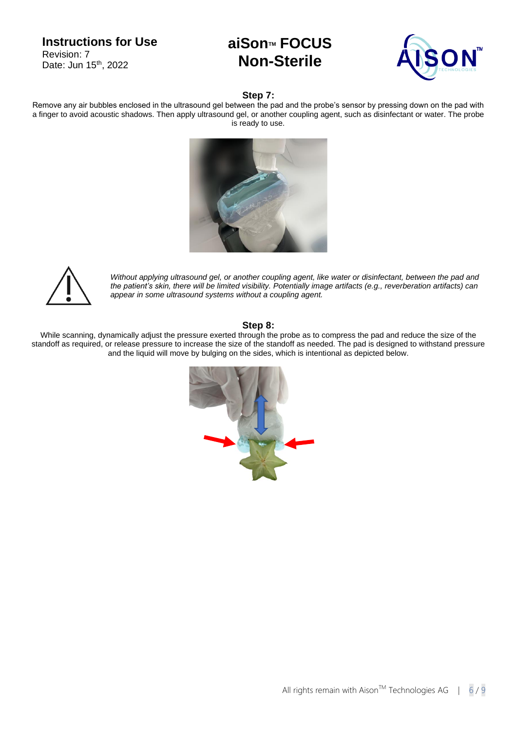# **aiSonTM FOCUS Non-Sterile**



#### **Step 7:**

Remove any air bubbles enclosed in the ultrasound gel between the pad and the probe's sensor by pressing down on the pad with a finger to avoid acoustic shadows. Then apply ultrasound gel, or another coupling agent, such as disinfectant or water. The probe is ready to use.





*Without applying ultrasound gel, or another coupling agent, like water or disinfectant, between the pad and the patient's skin, there will be limited visibility. Potentially image artifacts (e.g., reverberation artifacts) can appear in some ultrasound systems without a coupling agent.*

#### **Step 8:**

While scanning, dynamically adjust the pressure exerted through the probe as to compress the pad and reduce the size of the standoff as required, or release pressure to increase the size of the standoff as needed. The pad is designed to withstand pressure and the liquid will move by bulging on the sides, which is intentional as depicted below.

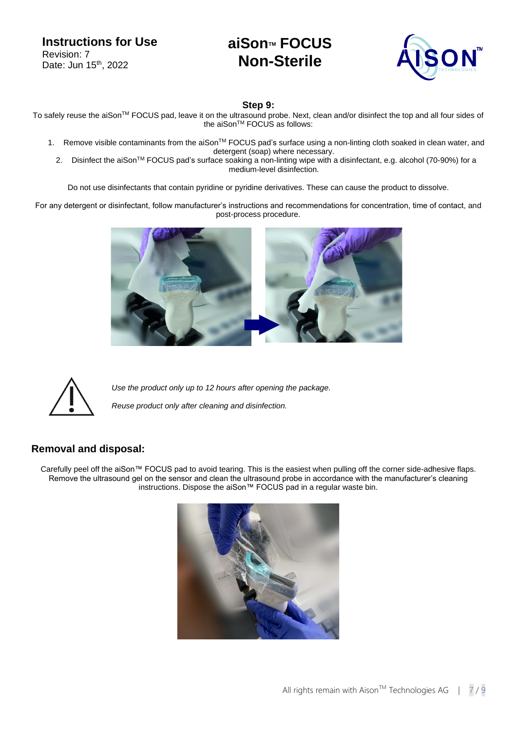# **aiSonTM FOCUS Non-Sterile**



**Step 9:**

To safely reuse the aiSon™ FOCUS pad, leave it on the ultrasound probe. Next, clean and/or disinfect the top and all four sides of the aiSon<sup>™</sup> FOCUS as follows:

- 1. Remove visible contaminants from the aiSon™ FOCUS pad's surface using a non-linting cloth soaked in clean water, and detergent (soap) where necessary.
	- 2. Disinfect the aiSon™ FOCUS pad's surface soaking a non-linting wipe with a disinfectant, e.g. alcohol (70-90%) for a medium-level disinfection.

Do not use disinfectants that contain pyridine or pyridine derivatives. These can cause the product to dissolve.

For any detergent or disinfectant, follow manufacturer's instructions and recommendations for concentration, time of contact, and post-process procedure.





*Use the product only up to 12 hours after opening the package. Reuse product only after cleaning and disinfection.*

### **Removal and disposal:**

Carefully peel off the aiSon™ FOCUS pad to avoid tearing. This is the easiest when pulling off the corner side-adhesive flaps. Remove the ultrasound gel on the sensor and clean the ultrasound probe in accordance with the manufacturer's cleaning instructions. Dispose the aiSon™ FOCUS pad in a regular waste bin.

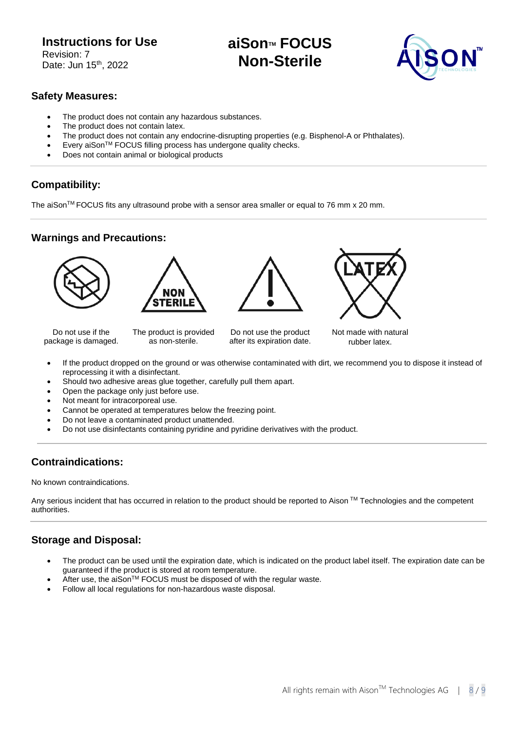# **aiSonTM FOCUS Non-Sterile**



### **Safety Measures:**

- The product does not contain any hazardous substances.
- The product does not contain latex.
- The product does not contain any endocrine-disrupting properties (e.g. Bisphenol-A or Phthalates).
- Every aiSon™ FOCUS filling process has undergone quality checks.
- Does not contain animal or biological products

## **Compatibility:**

The aiSon<sup>TM</sup> FOCUS fits any ultrasound probe with a sensor area smaller or equal to 76 mm x 20 mm.

### **Warnings and Precautions:**







Do not use if the package is damaged.

The product is provided as non-sterile.

Do not use the product after its expiration date.



Not made with natural rubber latex.

- If the product dropped on the ground or was otherwise contaminated with dirt, we recommend you to dispose it instead of reprocessing it with a disinfectant.
- Should two adhesive areas glue together, carefully pull them apart.
- Open the package only just before use.
- Not meant for intracorporeal use.
- Cannot be operated at temperatures below the freezing point.
- Do not leave a contaminated product unattended.
- Do not use disinfectants containing pyridine and pyridine derivatives with the product.

## **Contraindications:**

No known contraindications.

Any serious incident that has occurred in relation to the product should be reported to Aison ™ Technologies and the competent authorities.

## **Storage and Disposal:**

- The product can be used until the expiration date, which is indicated on the product label itself. The expiration date can be guaranteed if the product is stored at room temperature.
- After use, the aiSon™ FOCUS must be disposed of with the regular waste.
- Follow all local regulations for non-hazardous waste disposal.